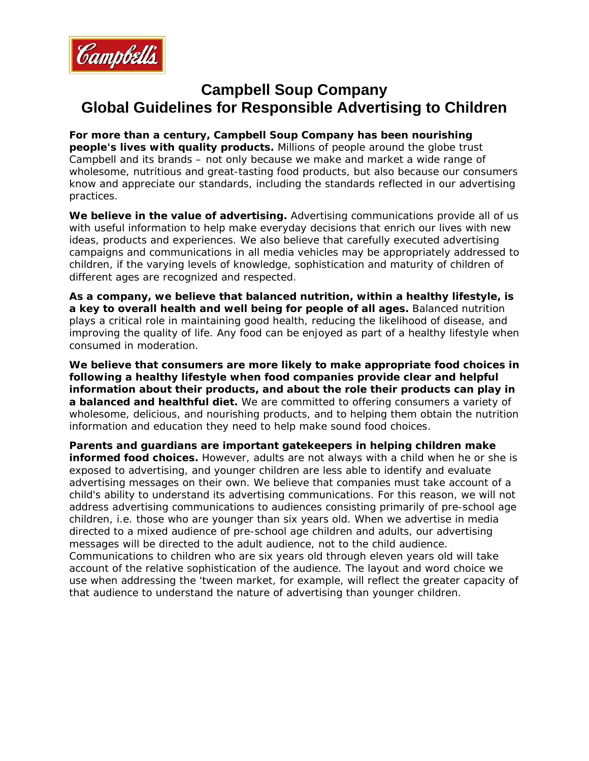

## **Campbell Soup Company Global Guidelines for Responsible Advertising to Children**

**For more than a century, Campbell Soup Company has been nourishing people's lives with quality products.** Millions of people around the globe trust Campbell and its brands – not only because we make and market a wide range of wholesome, nutritious and great-tasting food products, but also because our consumers know and appreciate our standards, including the standards reflected in our advertising practices.

**We believe in the value of advertising.** Advertising communications provide all of us with useful information to help make everyday decisions that enrich our lives with new ideas, products and experiences. We also believe that carefully executed advertising campaigns and communications in all media vehicles may be appropriately addressed to children, if the varying levels of knowledge, sophistication and maturity of children of different ages are recognized and respected.

**As a company, we believe that balanced nutrition, within a healthy lifestyle, is a key to overall health and well being for people of all ages.** Balanced nutrition plays a critical role in maintaining good health, reducing the likelihood of disease, and improving the quality of life. Any food can be enjoyed as part of a healthy lifestyle when consumed in moderation.

**We believe that consumers are more likely to make appropriate food choices in following a healthy lifestyle when food companies provide clear and helpful information about their products, and about the role their products can play in a balanced and healthful diet.** We are committed to offering consumers a variety of wholesome, delicious, and nourishing products, and to helping them obtain the nutrition information and education they need to help make sound food choices.

**Parents and guardians are important gatekeepers in helping children make informed food choices.** However, adults are not always with a child when he or she is exposed to advertising, and younger children are less able to identify and evaluate advertising messages on their own. We believe that companies must take account of a child's ability to understand its advertising communications. For this reason, we will not address advertising communications to audiences consisting primarily of pre-school age children, *i.e.* those who are younger than six years old. When we advertise in media directed to a mixed audience of pre-school age children and adults, our advertising messages will be directed to the adult audience, not to the child audience. Communications to children who are six years old through eleven years old will take account of the relative sophistication of the audience. The layout and word choice we use when addressing the 'tween market, for example, will reflect the greater capacity of that audience to understand the nature of advertising than younger children.